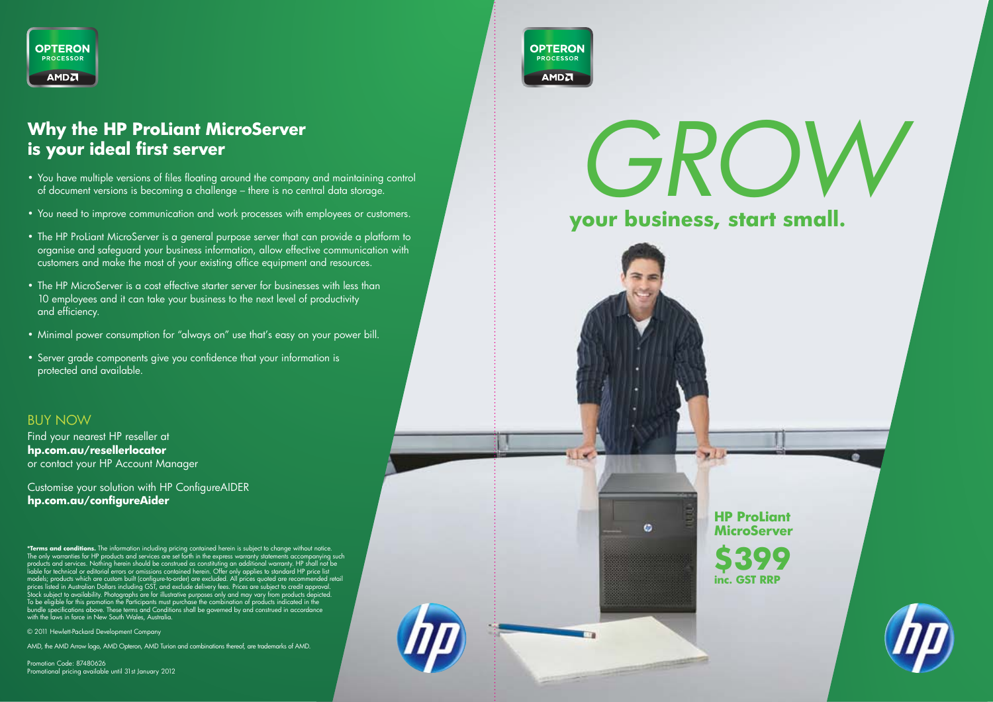

#### **Why the HP ProLiant MicroServer is your ideal first server**

- • You have multiple versions of files floating around the company and maintaining control of document versions is becoming a challenge – there is no central data storage.
- • You need to improve communication and work processes with employees or customers.
- The HP ProLiant MicroServer is a general purpose server that can provide a platform to organise and safeguard your business information, allow effective communication with customers and make the most of your existing office equipment and resources.
- The HP MicroServer is a cost effective starter server for businesses with less than 10 employees and it can take your business to the next level of productivity and efficiency.
- Minimal power consumption for "always on" use that's easy on your power bill.
- Server grade components give you confidence that your information is protected and available.

#### BUY NOW

Find your nearest HP reseller at **hp.com.au/resellerlocator** or contact your HP Account Manager

Customise your solution with HP ConfigureAIDER **hp.com.au/configureAider**

**\*Terms and conditions.** The information including pricing ordinate derein is subject to change without notice.<br>The only warranties for HP products and services are set forth in the express warranty statements accompanying bundle specifications above. These terms and Conditions shall be governed by and construed in accordance with the laws in force in New South Wales, Australia.

© 2011 Hewlett-Packard Development Company

AMD, the AMD Arrow logo, AMD Opteron, AMD Turion and combinations thereof, are trademarks of AMD.

Promotion Code: 87480626 Promotional pricing available until 31st January 2012



# *GROW*

**your business, start small.**

**HP ProLiant MicroServer \$399**

 $\omega$ 

**inc. GST RRP**